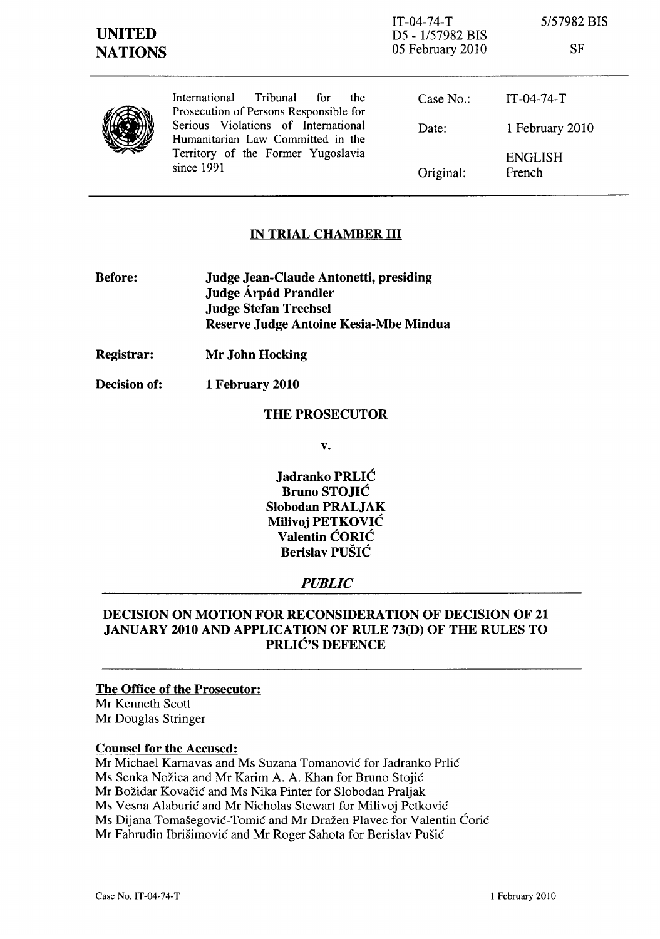| <b>UNITED</b><br><b>NATIONS</b> |                                                                                                                                                                                                                   | $IT-04-74-T$<br>D5 - 1/57982 BIS<br>05 February 2010 | 5/57982 BIS<br>SF        |
|---------------------------------|-------------------------------------------------------------------------------------------------------------------------------------------------------------------------------------------------------------------|------------------------------------------------------|--------------------------|
|                                 | International<br>Tribunal<br>for<br>the<br>Prosecution of Persons Responsible for<br>Serious Violations of International<br>Humanitarian Law Committed in the<br>Territory of the Former Yugoslavia<br>since 1991 | Case $No.$ :                                         | $IT-04-74-T$             |
|                                 |                                                                                                                                                                                                                   | Date:                                                | 1 February 2010          |
|                                 |                                                                                                                                                                                                                   | Original:                                            | <b>ENGLISH</b><br>French |

### IN TRIAL CHAMBER III

- Before: Judge Jean-Claude Antonetti, presiding Judge Árpád Prandler Judge Stefan Trechsel Reserve Judge Antoine Kesia-Mbe Mindua
- Registrar: Mr John Hocking
- Decision of: 1 February 2010

#### THE PROSECUTOR

v.

Jadranko PRLIC Bruno STOJIC Slobodan PRALJAK Milivoj PETKOVIC Valentin CORIC Berislav PUSIC

#### *PUBLIC*

#### DECISION ON MOTION FOR RECONSIDERATION OF DECISION OF 21 JANUARY 2010 AND APPLICATION OF RULE 73(D) OF THE RULES TO PRLIC'S DEFENCE

The Office of the Prosecutor: Mr Kenneth Scott Mr Douglas Stringer

# Counsel for the Accused:

Mr Michael Kamavas and Ms Suzana Tomanovic for Jadranko Prlic

Ms Senka Nozica and Mr Karim A. A. Khan for Bruno Stojic

Mr Bozidar Kovacic and Ms Nika Pinter for Slobodan Praljak

Ms Vesna Alaburic and Mr Nicholas Stewart for Milivoj Petkovic

Ms Dijana Tomašegović-Tomić and Mr Dražen Plavec for Valentin Ćorić

Mr Fahrudin Ibrisimovic and Mr Roger Sahota for Berislav Pusic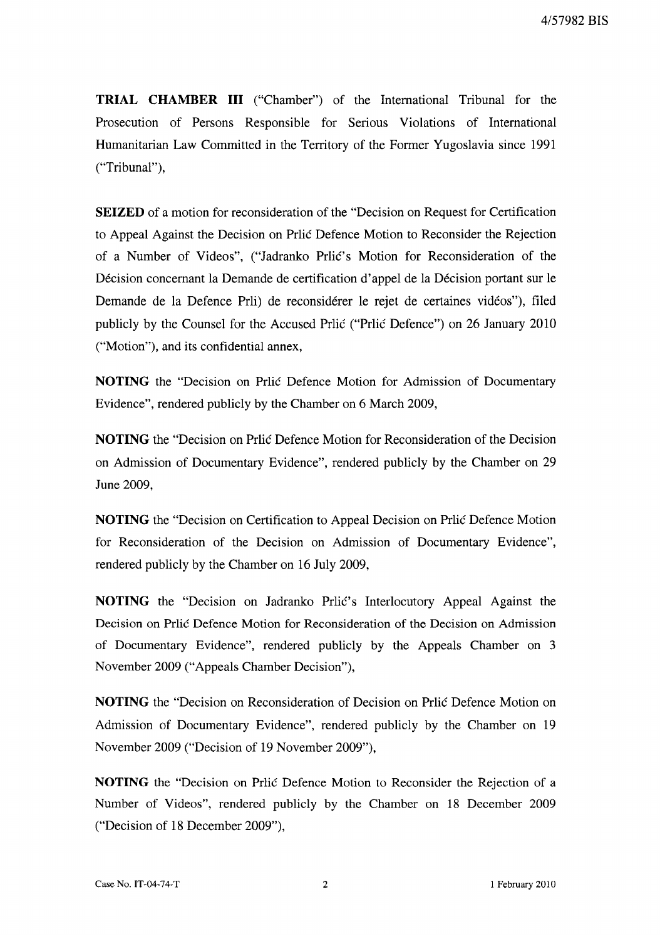**TRIAL CHAMBER III** ("Chamber") of the International Tribunal for the Prosecution of Persons Responsible for Serious Violations of International Humanitarian Law Committed in the Territory of the Former Yugoslavia since 1991 ("Tribunal"),

**SEIZED** of a motion for reconsideration of the "Decision on Request for Certification to Appeal Against the Decision on Prlic Defence Motion to Reconsider the Rejection of a Number of Videos", ("Jadranko Prlić's Motion for Reconsideration of the Décision concernant la Demande de certification d'appel de la Décision portant sur le Demande de la Defence Prli) de reconsiderer le rejet de certaines videos"), filed publicly by the Counsel for the Accused Prlic ("Prlic Defence") on 26 January 2010 ("Motion"), and its confidential annex,

**NOTING** the "Decision on Prlic Defence Motion for Admission of Documentary Evidence", rendered publicly by the Chamber on 6 March 2009,

**NOTING** the "Decision on Prlic Defence Motion for Reconsideration of the Decision on Admission of Documentary Evidence", rendered publicly by the Chamber on 29 June 2009,

**NOTING** the "Decision on Certification to Appeal Decision on Prlic Defence Motion for Reconsideration of the Decision on Admission of Documentary Evidence", rendered publicly by the Chamber on 16 July 2009,

**NOTING** the "Decision on Jadranko Prlic's Interlocutory Appeal Against the Decision on Prlic Defence Motion for Reconsideration of the Decision on Admission of Documentary Evidence", rendered publicly by the Appeals Chamber on 3 November 2009 ("Appeals Chamber Decision"),

**NOTING** the "Decision on Reconsideration of Decision on Prlic Defence Motion on Admission of Documentary Evidence", rendered publicly by the Chamber on 19 November 2009 ("Decision of 19 November 2009"),

**NOTING** the "Decision on Prlic Defence Motion to Reconsider the Rejection of a Number of Videos", rendered publicly by the Chamber on 18 December 2009 ("Decision of 18 December 2009"),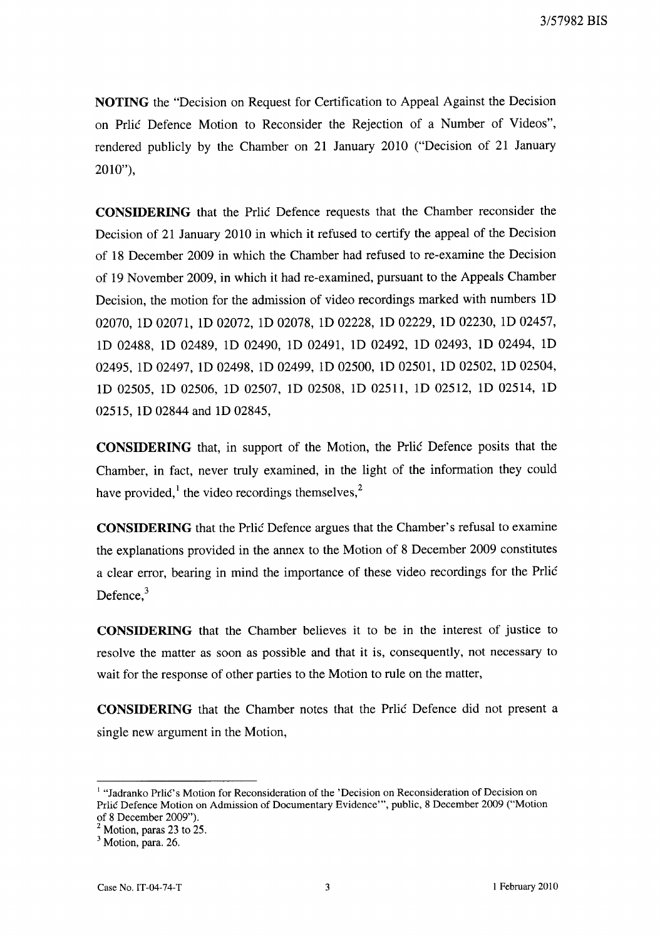**NOTING** the "Decision on Request for Certification to Appeal Against the Decision on Prlic Defence Motion to Reconsider the Rejection of a Number of Videos", rendered publicly by the Chamber on 21 January 2010 ("Decision of 21 January 2010"),

**CONSIDERING** that the Prlic Defence requests that the Chamber reconsider the Decision of 21 January 2010 in which it refused to certify the appeal of the Decision of 18 December 2009 in which the Chamber had refused to re-examine the Decision of 19 November 2009, in which it had re-examined, pursuant to the Appeals Chamber Decision, the motion for the admission of video recordings marked with numbers ID 02070, ID 02071, ID 02072, ID 02078, ID 02228, ID 02229, ID 02230, ID 02457, ID 02488, ID 02489, ID 02490, ID 02491, ID 02492, ID 02493, ID 02494, ID 02495, ID 02497, ID 02498, ID 02499, ID 02500, ID 02501, ID 02502, ID 02504, ID 02505, ID 02506, ID 02507, ID 02508, ID 02511, ID 02512, ID 02514, ID 02515, ID 02844 and ID 02845,

**CONSIDERING** that, in support of the Motion, the Prlic Defence posits that the Chamber, in fact, never truly examined, in the light of the information they could have provided, $\frac{1}{2}$  the video recordings themselves,<sup>2</sup>

**CONSIDERING** that the Prlic Defence argues that the Chamber's refusal to examine the explanations provided in the annex to the Motion of 8 December 2009 constitutes a clear error, bearing in mind the importance of these video recordings for the Prlic Defence. $3$ 

**CONSIDERING** that the Chamber believes it to be in the interest of justice to resolve the matter as soon as possible and that it is, consequently, not necessary to wait for the response of other parties to the Motion to rule on the matter,

**CONSIDERING** that the Chamber notes that the Prlic Defence did not present a single new argument in the Motion,

<sup>&</sup>lt;sup>1</sup> "Jadranko Prlic's Motion for Reconsideration of the 'Decision on Reconsideration of Decision on Prlic Defence Motion on Admission of Documentary Evidence''', public, 8 December 2009 ("Motion of 8 December 2009").

 $<sup>2</sup>$  Motion, paras 23 to 25.</sup>

<sup>&</sup>lt;sup>3</sup> Motion, para. 26.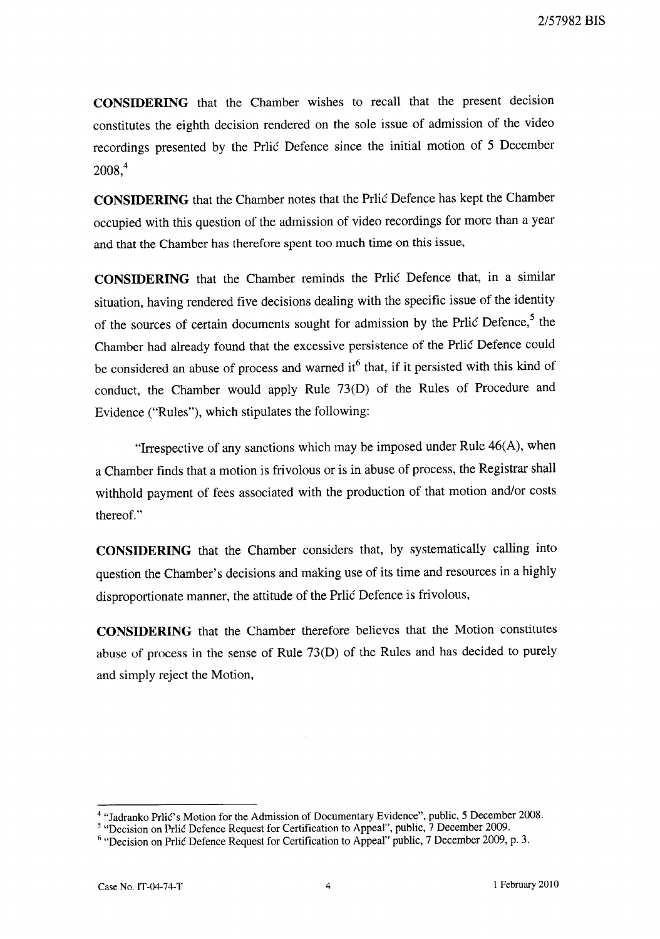**CONSIDERING** that the Chamber wishes to recall that the present decision constitutes the eighth decision rendered on the sole issue of admission of the video recordings presented by the Prlic Defence since the initial motion of 5 December  $2008<sup>4</sup>$ 

**CONSIDERING** that the Chamber notes that the Prlic Defence has kept the Chamber occupied with this question of the admission of video recordings for more than a year and that the Chamber has therefore spent too much time on this issue,

**CONSIDERING** that the Chamber reminds the Prlic Defence that, in a similar situation, having rendered five decisions dealing with the specific issue of the identity of the sources of certain documents sought for admission by the Prlic Defence,<sup>5</sup> the Chamber had already found that the excessive persistence of the Prlic Defence could be considered an abuse of process and warned it<sup>6</sup> that, if it persisted with this kind of conduct, the Chamber would apply Rule 73(D) of the Rules of Procedure and Evidence ("Rules"), which stipulates the following:

"Irrespective of any sanctions which may be imposed under Rule 46(A), when a Chamber finds that a motion is frivolous or is in abuse of process, the Registrar shall withhold payment of fees associated with the production of that motion and/or costs thereof."

**CONSIDERING** that the Chamber considers that, by systematically calling into question the Chamber's decisions and making use of its time and resources in a highly disproportionate manner, the attitude of the Prlic Defence is frivolous,

**CONSIDERING** that the Chamber therefore believes that the Motion constitutes abuse of process in the sense of Rule 73(D) of the Rules and has decided to purely and simply reject the Motion,

<sup>4 &</sup>quot;ladranko Prlic's Motion for the Admission of Documentary Evidence", public, 5 December 2008.

<sup>&</sup>lt;sup>5</sup> "Decision on Prlić Defence Request for Certification to Appeal", public, 7 December 2009.

<sup>&</sup>lt;sup>6</sup> "Decision on Prlic Defence Request for Certification to Appeal" public, 7 December 2009, p. 3.